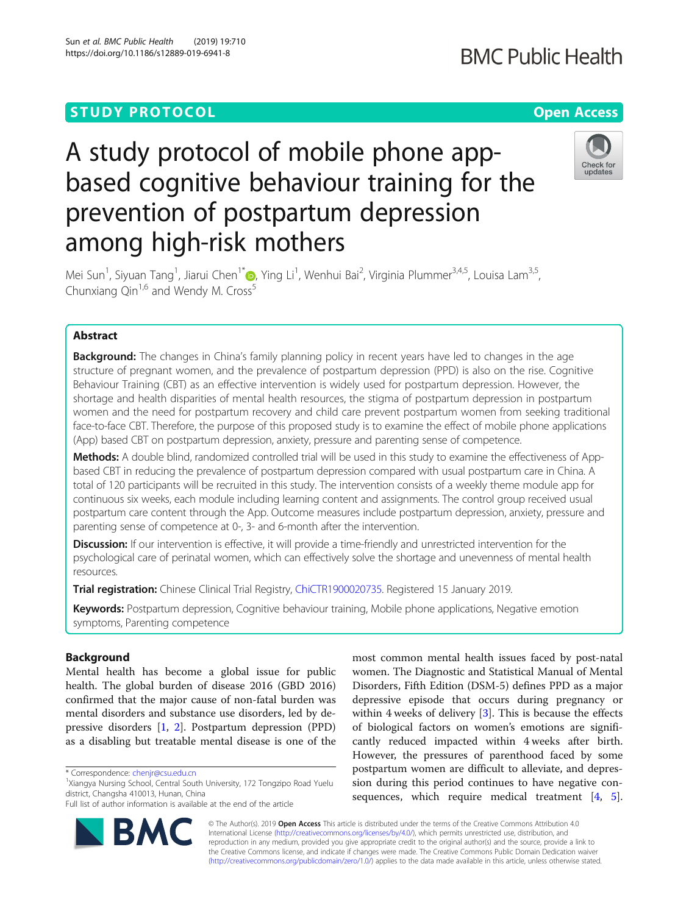Sun et al. BMC Public Health (2019) 19:710 https://doi.org/10.1186/s12889-019-6941-8

# A study protocol of mobile phone appbased cognitive behaviour training for the prevention of postpartum depression among high-risk mothers



Mei Sun<sup>1</sup>, Siyuan Tang<sup>1</sup>, Jiarui Chen<sup>1[\\*](http://orcid.org/0000-0003-2005-288X)</sup>i , Ying Li<sup>1</sup>, Wenhui Bai<sup>2</sup>, Virginia Plummer<sup>3,4,5</sup>, Louisa Lam<sup>3,5</sup>, Chunxiang  $\text{Oin}^{1,6}$  and Wendy M. Cross<sup>5</sup>

# Abstract

**Background:** The changes in China's family planning policy in recent years have led to changes in the age structure of pregnant women, and the prevalence of postpartum depression (PPD) is also on the rise. Cognitive Behaviour Training (CBT) as an effective intervention is widely used for postpartum depression. However, the shortage and health disparities of mental health resources, the stigma of postpartum depression in postpartum women and the need for postpartum recovery and child care prevent postpartum women from seeking traditional face-to-face CBT. Therefore, the purpose of this proposed study is to examine the effect of mobile phone applications (App) based CBT on postpartum depression, anxiety, pressure and parenting sense of competence.

Methods: A double blind, randomized controlled trial will be used in this study to examine the effectiveness of Appbased CBT in reducing the prevalence of postpartum depression compared with usual postpartum care in China. A total of 120 participants will be recruited in this study. The intervention consists of a weekly theme module app for continuous six weeks, each module including learning content and assignments. The control group received usual postpartum care content through the App. Outcome measures include postpartum depression, anxiety, pressure and parenting sense of competence at 0-, 3- and 6-month after the intervention.

Discussion: If our intervention is effective, it will provide a time-friendly and unrestricted intervention for the psychological care of perinatal women, which can effectively solve the shortage and unevenness of mental health resources.

Trial registration: Chinese Clinical Trial Registry, [ChiCTR1900020735](http://apps.who.int/trialsearch/default.aspx). Registered 15 January 2019.

**Keywords:** Postpartum depression, Cognitive behaviour training, Mobile phone applications, Negative emotion symptoms, Parenting competence

# **Background**

Mental health has become a global issue for public health. The global burden of disease 2016 (GBD 2016) confirmed that the major cause of non-fatal burden was mental disorders and substance use disorders, led by depressive disorders [[1,](#page-5-0) [2\]](#page-5-0). Postpartum depression (PPD) as a disabling but treatable mental disease is one of the

RA

Full list of author information is available at the end of the article



© The Author(s). 2019 Open Access This article is distributed under the terms of the Creative Commons Attribution 4.0 International License [\(http://creativecommons.org/licenses/by/4.0/](http://creativecommons.org/licenses/by/4.0/)), which permits unrestricted use, distribution, and reproduction in any medium, provided you give appropriate credit to the original author(s) and the source, provide a link to the Creative Commons license, and indicate if changes were made. The Creative Commons Public Domain Dedication waiver [\(http://creativecommons.org/publicdomain/zero/1.0/](http://creativecommons.org/publicdomain/zero/1.0/)) applies to the data made available in this article, unless otherwise stated.

<sup>\*</sup> Correspondence: [chenjr@csu.edu.cn](mailto:chenjr@csu.edu.cn) <sup>1</sup>

<sup>&</sup>lt;sup>1</sup>Xiangya Nursing School, Central South University, 172 Tongzipo Road Yuelu district, Changsha 410013, Hunan, China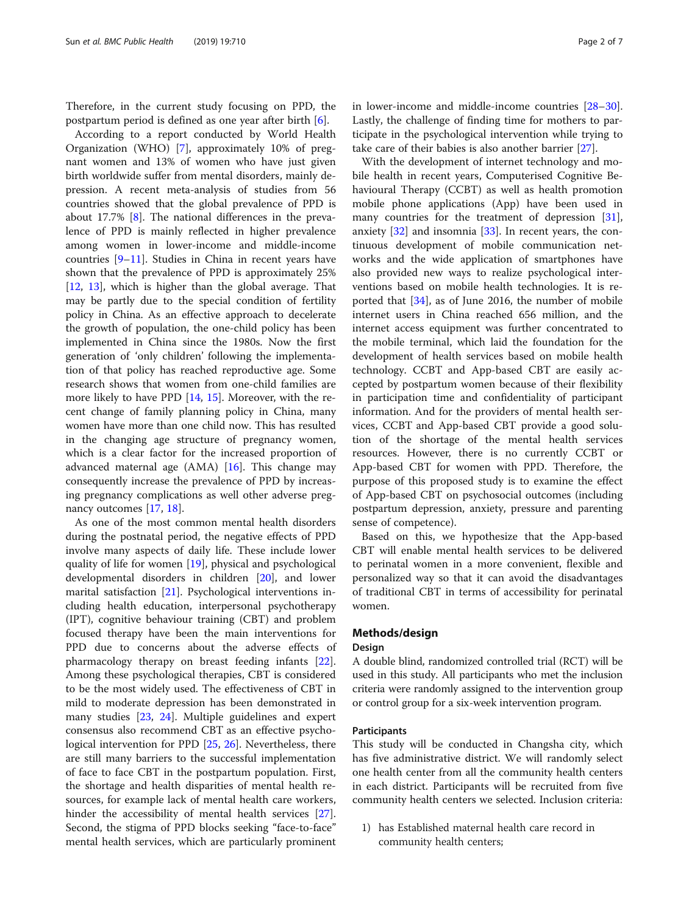Therefore, in the current study focusing on PPD, the postpartum period is defined as one year after birth [[6](#page-5-0)].

According to a report conducted by World Health Organization (WHO) [\[7](#page-5-0)], approximately 10% of pregnant women and 13% of women who have just given birth worldwide suffer from mental disorders, mainly depression. A recent meta-analysis of studies from 56 countries showed that the global prevalence of PPD is about 17.7% [\[8](#page-5-0)]. The national differences in the prevalence of PPD is mainly reflected in higher prevalence among women in lower-income and middle-income countries [[9](#page-5-0)–[11](#page-6-0)]. Studies in China in recent years have shown that the prevalence of PPD is approximately 25% [[12,](#page-6-0) [13](#page-6-0)], which is higher than the global average. That may be partly due to the special condition of fertility policy in China. As an effective approach to decelerate the growth of population, the one-child policy has been implemented in China since the 1980s. Now the first generation of 'only children' following the implementation of that policy has reached reproductive age. Some research shows that women from one-child families are more likely to have PPD [[14](#page-6-0), [15\]](#page-6-0). Moreover, with the recent change of family planning policy in China, many women have more than one child now. This has resulted in the changing age structure of pregnancy women, which is a clear factor for the increased proportion of advanced maternal age (AMA) [[16\]](#page-6-0). This change may consequently increase the prevalence of PPD by increasing pregnancy complications as well other adverse pregnancy outcomes [\[17](#page-6-0), [18\]](#page-6-0).

As one of the most common mental health disorders during the postnatal period, the negative effects of PPD involve many aspects of daily life. These include lower quality of life for women [\[19](#page-6-0)], physical and psychological developmental disorders in children [[20](#page-6-0)], and lower marital satisfaction [[21\]](#page-6-0). Psychological interventions including health education, interpersonal psychotherapy (IPT), cognitive behaviour training (CBT) and problem focused therapy have been the main interventions for PPD due to concerns about the adverse effects of pharmacology therapy on breast feeding infants [\[22](#page-6-0)]. Among these psychological therapies, CBT is considered to be the most widely used. The effectiveness of CBT in mild to moderate depression has been demonstrated in many studies [[23,](#page-6-0) [24\]](#page-6-0). Multiple guidelines and expert consensus also recommend CBT as an effective psychological intervention for PPD [[25,](#page-6-0) [26\]](#page-6-0). Nevertheless, there are still many barriers to the successful implementation of face to face CBT in the postpartum population. First, the shortage and health disparities of mental health resources, for example lack of mental health care workers, hinder the accessibility of mental health services [\[27](#page-6-0)]. Second, the stigma of PPD blocks seeking "face-to-face" mental health services, which are particularly prominent in lower-income and middle-income countries [[28](#page-6-0)–[30](#page-6-0)]. Lastly, the challenge of finding time for mothers to participate in the psychological intervention while trying to take care of their babies is also another barrier [[27\]](#page-6-0).

With the development of internet technology and mobile health in recent years, Computerised Cognitive Behavioural Therapy (CCBT) as well as health promotion mobile phone applications (App) have been used in many countries for the treatment of depression [\[31](#page-6-0)], anxiety [\[32](#page-6-0)] and insomnia [[33](#page-6-0)]. In recent years, the continuous development of mobile communication networks and the wide application of smartphones have also provided new ways to realize psychological interventions based on mobile health technologies. It is reported that [[34\]](#page-6-0), as of June 2016, the number of mobile internet users in China reached 656 million, and the internet access equipment was further concentrated to the mobile terminal, which laid the foundation for the development of health services based on mobile health technology. CCBT and App-based CBT are easily accepted by postpartum women because of their flexibility in participation time and confidentiality of participant information. And for the providers of mental health services, CCBT and App-based CBT provide a good solution of the shortage of the mental health services resources. However, there is no currently CCBT or App-based CBT for women with PPD. Therefore, the purpose of this proposed study is to examine the effect of App-based CBT on psychosocial outcomes (including postpartum depression, anxiety, pressure and parenting sense of competence).

Based on this, we hypothesize that the App-based CBT will enable mental health services to be delivered to perinatal women in a more convenient, flexible and personalized way so that it can avoid the disadvantages of traditional CBT in terms of accessibility for perinatal women.

# Methods/design

#### Design

A double blind, randomized controlled trial (RCT) will be used in this study. All participants who met the inclusion criteria were randomly assigned to the intervention group or control group for a six-week intervention program.

# **Participants**

This study will be conducted in Changsha city, which has five administrative district. We will randomly select one health center from all the community health centers in each district. Participants will be recruited from five community health centers we selected. Inclusion criteria:

1) has Established maternal health care record in community health centers;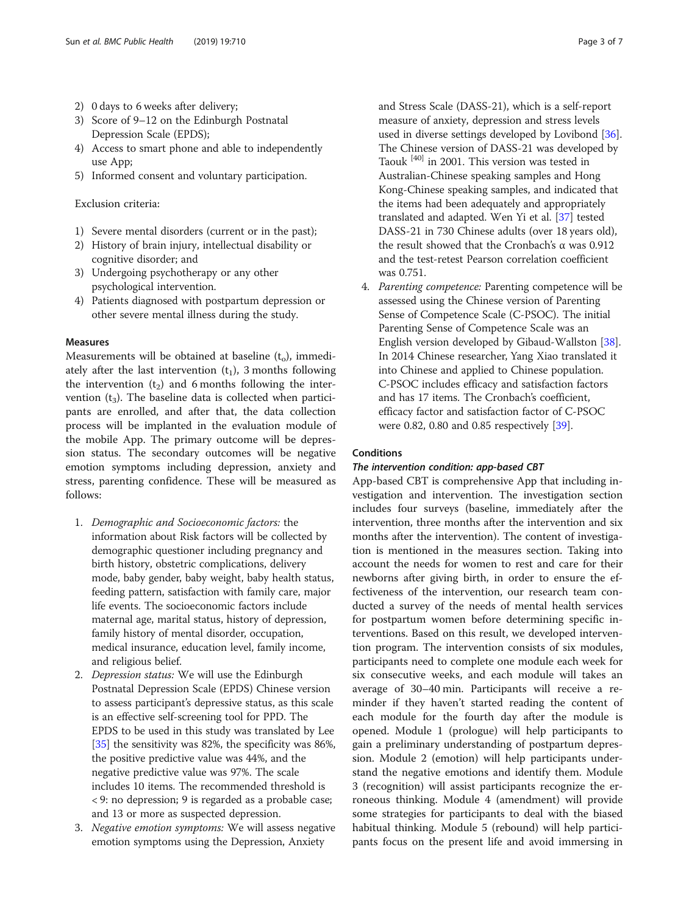- 2) 0 days to 6 weeks after delivery;
- 3) Score of 9–12 on the Edinburgh Postnatal Depression Scale (EPDS);
- 4) Access to smart phone and able to independently use App;
- 5) Informed consent and voluntary participation.

# Exclusion criteria:

- 1) Severe mental disorders (current or in the past);
- 2) History of brain injury, intellectual disability or cognitive disorder; and
- 3) Undergoing psychotherapy or any other psychological intervention.
- 4) Patients diagnosed with postpartum depression or other severe mental illness during the study.

# Measures

Measurements will be obtained at baseline  $(t_0)$ , immediately after the last intervention  $(t_1)$ , 3 months following the intervention  $(t_2)$  and 6 months following the intervention  $(t_3)$ . The baseline data is collected when participants are enrolled, and after that, the data collection process will be implanted in the evaluation module of the mobile App. The primary outcome will be depression status. The secondary outcomes will be negative emotion symptoms including depression, anxiety and stress, parenting confidence. These will be measured as follows:

- 1. Demographic and Socioeconomic factors: the information about Risk factors will be collected by demographic questioner including pregnancy and birth history, obstetric complications, delivery mode, baby gender, baby weight, baby health status, feeding pattern, satisfaction with family care, major life events. The socioeconomic factors include maternal age, marital status, history of depression, family history of mental disorder, occupation, medical insurance, education level, family income, and religious belief.
- 2. Depression status: We will use the Edinburgh Postnatal Depression Scale (EPDS) Chinese version to assess participant's depressive status, as this scale is an effective self-screening tool for PPD. The EPDS to be used in this study was translated by Lee [\[35](#page-6-0)] the sensitivity was 82%, the specificity was 86%, the positive predictive value was 44%, and the negative predictive value was 97%. The scale includes 10 items. The recommended threshold is < 9: no depression; 9 is regarded as a probable case; and 13 or more as suspected depression.
- 3. Negative emotion symptoms: We will assess negative emotion symptoms using the Depression, Anxiety

and Stress Scale (DASS-21), which is a self-report measure of anxiety, depression and stress levels used in diverse settings developed by Lovibond [\[36\]](#page-6-0). The Chinese version of DASS-21 was developed by Taouk [40] in 2001. This version was tested in Australian-Chinese speaking samples and Hong Kong-Chinese speaking samples, and indicated that the items had been adequately and appropriately translated and adapted. Wen Yi et al. [\[37\]](#page-6-0) tested DASS-21 in 730 Chinese adults (over 18 years old), the result showed that the Cronbach's α was 0.912 and the test-retest Pearson correlation coefficient was 0.751.

4. Parenting competence: Parenting competence will be assessed using the Chinese version of Parenting Sense of Competence Scale (C-PSOC). The initial Parenting Sense of Competence Scale was an English version developed by Gibaud-Wallston [\[38\]](#page-6-0). In 2014 Chinese researcher, Yang Xiao translated it into Chinese and applied to Chinese population. C-PSOC includes efficacy and satisfaction factors and has 17 items. The Cronbach's coefficient, efficacy factor and satisfaction factor of C-PSOC were 0.82, 0.80 and 0.85 respectively [[39](#page-6-0)].

# Conditions

## The intervention condition: app-based CBT

App-based CBT is comprehensive App that including investigation and intervention. The investigation section includes four surveys (baseline, immediately after the intervention, three months after the intervention and six months after the intervention). The content of investigation is mentioned in the measures section. Taking into account the needs for women to rest and care for their newborns after giving birth, in order to ensure the effectiveness of the intervention, our research team conducted a survey of the needs of mental health services for postpartum women before determining specific interventions. Based on this result, we developed intervention program. The intervention consists of six modules, participants need to complete one module each week for six consecutive weeks, and each module will takes an average of 30–40 min. Participants will receive a reminder if they haven't started reading the content of each module for the fourth day after the module is opened. Module 1 (prologue) will help participants to gain a preliminary understanding of postpartum depression. Module 2 (emotion) will help participants understand the negative emotions and identify them. Module 3 (recognition) will assist participants recognize the erroneous thinking. Module 4 (amendment) will provide some strategies for participants to deal with the biased habitual thinking. Module 5 (rebound) will help participants focus on the present life and avoid immersing in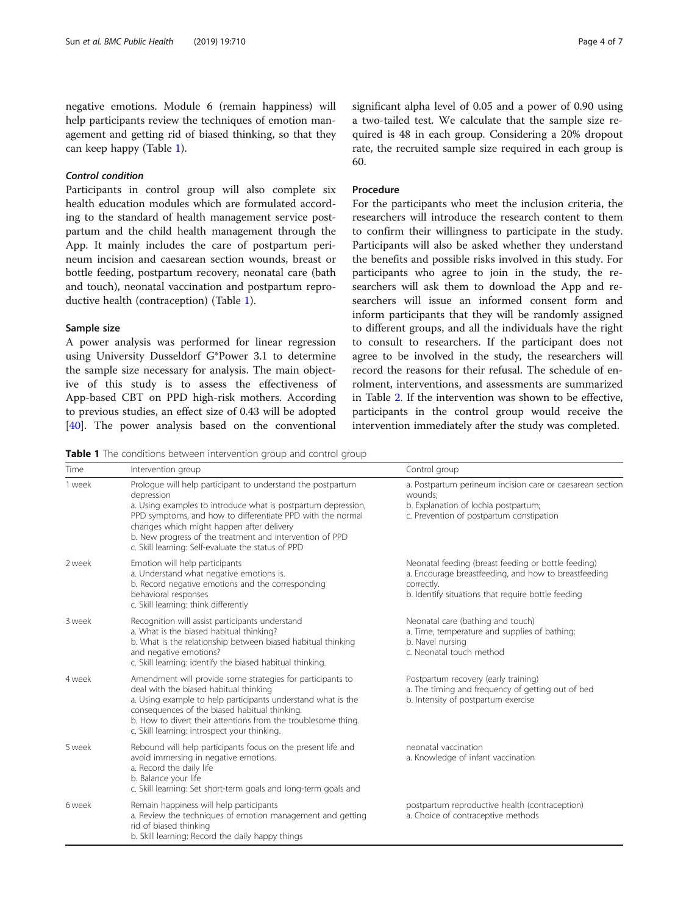negative emotions. Module 6 (remain happiness) will help participants review the techniques of emotion management and getting rid of biased thinking, so that they can keep happy (Table 1).

# Control condition

Participants in control group will also complete six health education modules which are formulated according to the standard of health management service postpartum and the child health management through the App. It mainly includes the care of postpartum perineum incision and caesarean section wounds, breast or bottle feeding, postpartum recovery, neonatal care (bath and touch), neonatal vaccination and postpartum reproductive health (contraception) (Table 1).

# Sample size

A power analysis was performed for linear regression using University Dusseldorf G\*Power 3.1 to determine the sample size necessary for analysis. The main objective of this study is to assess the effectiveness of App-based CBT on PPD high-risk mothers. According to previous studies, an effect size of 0.43 will be adopted [[40\]](#page-6-0). The power analysis based on the conventional significant alpha level of 0.05 and a power of 0.90 using a two-tailed test. We calculate that the sample size required is 48 in each group. Considering a 20% dropout rate, the recruited sample size required in each group is 60.

# Procedure

For the participants who meet the inclusion criteria, the researchers will introduce the research content to them to confirm their willingness to participate in the study. Participants will also be asked whether they understand the benefits and possible risks involved in this study. For participants who agree to join in the study, the researchers will ask them to download the App and researchers will issue an informed consent form and inform participants that they will be randomly assigned to different groups, and all the individuals have the right to consult to researchers. If the participant does not agree to be involved in the study, the researchers will record the reasons for their refusal. The schedule of enrolment, interventions, and assessments are summarized in Table [2](#page-4-0). If the intervention was shown to be effective, participants in the control group would receive the intervention immediately after the study was completed.

Table 1 The conditions between intervention group and control group

| Time   | Intervention group                                                                                                                                                                                                                                                                                                                                                      | Control group<br>a. Postpartum perineum incision care or caesarean section<br>wounds:<br>b. Explanation of lochia postpartum;<br>c. Prevention of postpartum constipation<br>Neonatal feeding (breast feeding or bottle feeding)<br>a. Encourage breastfeeding, and how to breastfeeding<br>correctly.<br>b. Identify situations that require bottle feeding |  |  |  |  |
|--------|-------------------------------------------------------------------------------------------------------------------------------------------------------------------------------------------------------------------------------------------------------------------------------------------------------------------------------------------------------------------------|--------------------------------------------------------------------------------------------------------------------------------------------------------------------------------------------------------------------------------------------------------------------------------------------------------------------------------------------------------------|--|--|--|--|
| 1 week | Prologue will help participant to understand the postpartum<br>depression<br>a. Using examples to introduce what is postpartum depression,<br>PPD symptoms, and how to differentiate PPD with the normal<br>changes which might happen after delivery<br>b. New progress of the treatment and intervention of PPD<br>c. Skill learning: Self-evaluate the status of PPD |                                                                                                                                                                                                                                                                                                                                                              |  |  |  |  |
| 2 week | Emotion will help participants<br>a. Understand what negative emotions is.<br>b. Record negative emotions and the corresponding<br>behavioral responses<br>c. Skill learning: think differently                                                                                                                                                                         |                                                                                                                                                                                                                                                                                                                                                              |  |  |  |  |
| 3 week | Recognition will assist participants understand<br>a. What is the biased habitual thinking?<br>b. What is the relationship between biased habitual thinking<br>and negative emotions?<br>c. Skill learning: identify the biased habitual thinking.                                                                                                                      | Neonatal care (bathing and touch)<br>a. Time, temperature and supplies of bathing;<br>b. Navel nursing<br>c. Neonatal touch method                                                                                                                                                                                                                           |  |  |  |  |
| 4 week | Amendment will provide some strategies for participants to<br>deal with the biased habitual thinking<br>a. Using example to help participants understand what is the<br>consequences of the biased habitual thinking.<br>b. How to divert their attentions from the troublesome thing.<br>c. Skill learning: introspect your thinking.                                  | Postpartum recovery (early training)<br>a. The timing and frequency of getting out of bed<br>b. Intensity of postpartum exercise                                                                                                                                                                                                                             |  |  |  |  |
| 5 week | Rebound will help participants focus on the present life and<br>avoid immersing in negative emotions.<br>a. Record the daily life<br>b. Balance your life<br>c. Skill learning: Set short-term goals and long-term goals and                                                                                                                                            | neonatal vaccination<br>a. Knowledge of infant vaccination                                                                                                                                                                                                                                                                                                   |  |  |  |  |
| 6 week | Remain happiness will help participants<br>a. Review the techniques of emotion management and getting<br>rid of biased thinking<br>b. Skill learning: Record the daily happy things                                                                                                                                                                                     | postpartum reproductive health (contraception)<br>a. Choice of contraceptive methods                                                                                                                                                                                                                                                                         |  |  |  |  |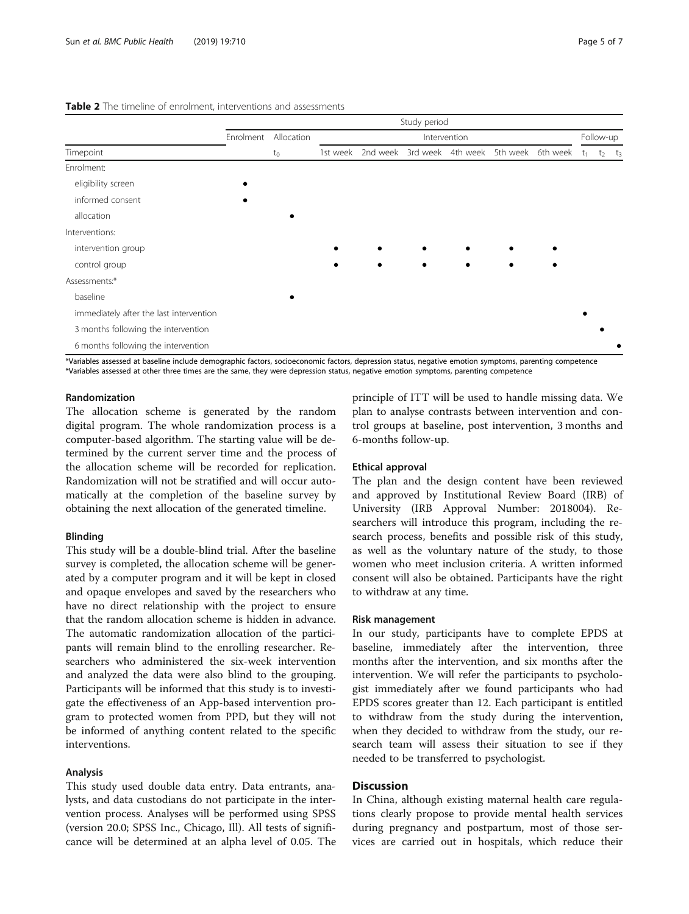|                                         | Study period |                     |              |          |          |          |  |                   |           |             |  |  |
|-----------------------------------------|--------------|---------------------|--------------|----------|----------|----------|--|-------------------|-----------|-------------|--|--|
|                                         | Enrolment    | Allocation<br>$t_0$ | Intervention |          |          |          |  |                   | Follow-up |             |  |  |
| Timepoint                               |              |                     | 1st week     | 2nd week | 3rd week | 4th week |  | 5th week 6th week | $t_1$     | $t_2$ $t_3$ |  |  |
| Enrolment:                              |              |                     |              |          |          |          |  |                   |           |             |  |  |
| eligibility screen                      |              |                     |              |          |          |          |  |                   |           |             |  |  |
| informed consent                        |              |                     |              |          |          |          |  |                   |           |             |  |  |
| allocation                              |              |                     |              |          |          |          |  |                   |           |             |  |  |
| Interventions:                          |              |                     |              |          |          |          |  |                   |           |             |  |  |
| intervention group                      |              |                     |              |          |          |          |  |                   |           |             |  |  |
| control group                           |              |                     |              |          |          |          |  |                   |           |             |  |  |
| Assessments:*                           |              |                     |              |          |          |          |  |                   |           |             |  |  |
| baseline                                |              |                     |              |          |          |          |  |                   |           |             |  |  |
| immediately after the last intervention |              |                     |              |          |          |          |  |                   |           |             |  |  |
| 3 months following the intervention     |              |                     |              |          |          |          |  |                   |           |             |  |  |
| 6 months following the intervention     |              |                     |              |          |          |          |  |                   |           |             |  |  |

#### <span id="page-4-0"></span>Table 2 The timeline of enrolment, interventions and assessments

\*Variables assessed at baseline include demographic factors, socioeconomic factors, depression status, negative emotion symptoms, parenting competence \*Variables assessed at other three times are the same, they were depression status, negative emotion symptoms, parenting competence

# Randomization

The allocation scheme is generated by the random digital program. The whole randomization process is a computer-based algorithm. The starting value will be determined by the current server time and the process of the allocation scheme will be recorded for replication. Randomization will not be stratified and will occur automatically at the completion of the baseline survey by obtaining the next allocation of the generated timeline.

#### Blinding

This study will be a double-blind trial. After the baseline survey is completed, the allocation scheme will be generated by a computer program and it will be kept in closed and opaque envelopes and saved by the researchers who have no direct relationship with the project to ensure that the random allocation scheme is hidden in advance. The automatic randomization allocation of the participants will remain blind to the enrolling researcher. Researchers who administered the six-week intervention and analyzed the data were also blind to the grouping. Participants will be informed that this study is to investigate the effectiveness of an App-based intervention program to protected women from PPD, but they will not be informed of anything content related to the specific interventions.

# Analysis

This study used double data entry. Data entrants, analysts, and data custodians do not participate in the intervention process. Analyses will be performed using SPSS (version 20.0; SPSS Inc., Chicago, Ill). All tests of significance will be determined at an alpha level of 0.05. The

principle of ITT will be used to handle missing data. We plan to analyse contrasts between intervention and control groups at baseline, post intervention, 3 months and 6-months follow-up.

#### Ethical approval

The plan and the design content have been reviewed and approved by Institutional Review Board (IRB) of University (IRB Approval Number: 2018004). Researchers will introduce this program, including the research process, benefits and possible risk of this study, as well as the voluntary nature of the study, to those women who meet inclusion criteria. A written informed consent will also be obtained. Participants have the right to withdraw at any time.

# Risk management

In our study, participants have to complete EPDS at baseline, immediately after the intervention, three months after the intervention, and six months after the intervention. We will refer the participants to psychologist immediately after we found participants who had EPDS scores greater than 12. Each participant is entitled to withdraw from the study during the intervention, when they decided to withdraw from the study, our research team will assess their situation to see if they needed to be transferred to psychologist.

# **Discussion**

In China, although existing maternal health care regulations clearly propose to provide mental health services during pregnancy and postpartum, most of those services are carried out in hospitals, which reduce their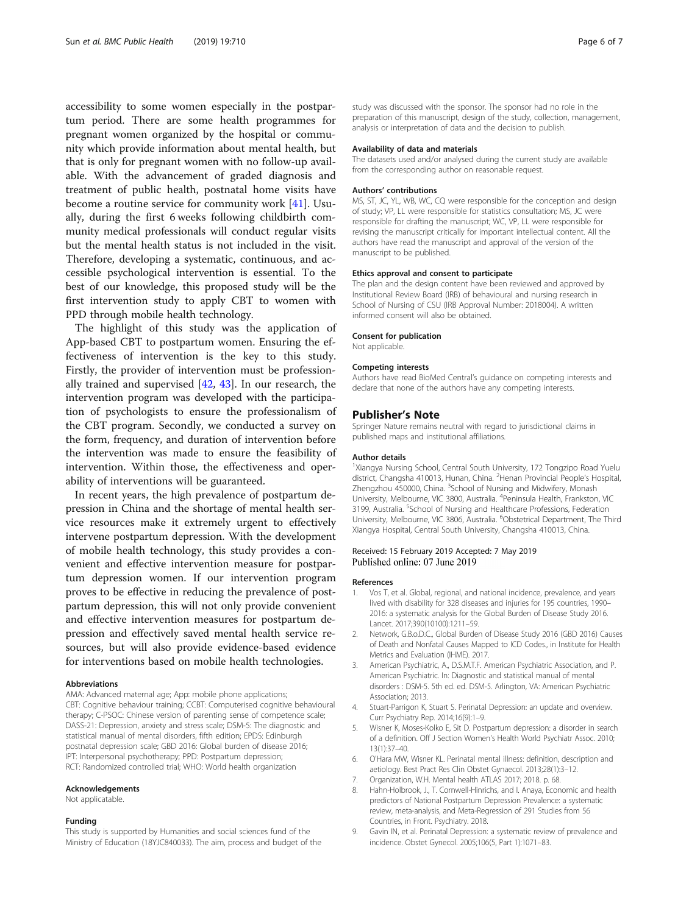<span id="page-5-0"></span>accessibility to some women especially in the postpartum period. There are some health programmes for pregnant women organized by the hospital or community which provide information about mental health, but that is only for pregnant women with no follow-up available. With the advancement of graded diagnosis and treatment of public health, postnatal home visits have become a routine service for community work [[41\]](#page-6-0). Usually, during the first 6 weeks following childbirth community medical professionals will conduct regular visits but the mental health status is not included in the visit. Therefore, developing a systematic, continuous, and accessible psychological intervention is essential. To the best of our knowledge, this proposed study will be the first intervention study to apply CBT to women with PPD through mobile health technology.

The highlight of this study was the application of App-based CBT to postpartum women. Ensuring the effectiveness of intervention is the key to this study. Firstly, the provider of intervention must be professionally trained and supervised [\[42](#page-6-0), [43\]](#page-6-0). In our research, the intervention program was developed with the participation of psychologists to ensure the professionalism of the CBT program. Secondly, we conducted a survey on the form, frequency, and duration of intervention before the intervention was made to ensure the feasibility of intervention. Within those, the effectiveness and operability of interventions will be guaranteed.

In recent years, the high prevalence of postpartum depression in China and the shortage of mental health service resources make it extremely urgent to effectively intervene postpartum depression. With the development of mobile health technology, this study provides a convenient and effective intervention measure for postpartum depression women. If our intervention program proves to be effective in reducing the prevalence of postpartum depression, this will not only provide convenient and effective intervention measures for postpartum depression and effectively saved mental health service resources, but will also provide evidence-based evidence for interventions based on mobile health technologies.

#### Abbreviations

AMA: Advanced maternal age; App: mobile phone applications; CBT: Cognitive behaviour training; CCBT: Computerised cognitive behavioural therapy; C-PSOC: Chinese version of parenting sense of competence scale; DASS-21: Depression, anxiety and stress scale; DSM-5: The diagnostic and statistical manual of mental disorders, fifth edition; EPDS: Edinburgh postnatal depression scale; GBD 2016: Global burden of disease 2016; IPT: Interpersonal psychotherapy; PPD: Postpartum depression; RCT: Randomized controlled trial; WHO: World health organization

#### Acknowledgements

Not applicatable.

#### Funding

This study is supported by Humanities and social sciences fund of the Ministry of Education (18YJC840033). The aim, process and budget of the study was discussed with the sponsor. The sponsor had no role in the preparation of this manuscript, design of the study, collection, management, analysis or interpretation of data and the decision to publish.

#### Availability of data and materials

The datasets used and/or analysed during the current study are available from the corresponding author on reasonable request.

#### Authors' contributions

MS, ST, JC, YL, WB, WC, CQ were responsible for the conception and design of study; VP, LL were responsible for statistics consultation; MS, JC were responsible for drafting the manuscript; WC, VP, LL were responsible for revising the manuscript critically for important intellectual content. All the authors have read the manuscript and approval of the version of the manuscript to be published.

#### Ethics approval and consent to participate

The plan and the design content have been reviewed and approved by Institutional Review Board (IRB) of behavioural and nursing research in School of Nursing of CSU (IRB Approval Number: 2018004). A written informed consent will also be obtained.

#### Consent for publication

Not applicable.

#### Competing interests

Authors have read BioMed Central's guidance on competing interests and declare that none of the authors have any competing interests.

# Publisher's Note

Springer Nature remains neutral with regard to jurisdictional claims in published maps and institutional affiliations.

#### Author details

<sup>1</sup>Xiangya Nursing School, Central South University, 172 Tongzipo Road Yuelu district, Changsha 410013, Hunan, China. <sup>2</sup>Henan Provincial People's Hospital Zhengzhou 450000, China. <sup>3</sup>School of Nursing and Midwifery, Monash University, Melbourne, VIC 3800, Australia. <sup>4</sup>Peninsula Health, Frankston, VIC 3199, Australia. <sup>5</sup>School of Nursing and Healthcare Professions, Federation University, Melbourne, VIC 3806, Australia. <sup>6</sup>Obstetrical Department, The Third Xiangya Hospital, Central South University, Changsha 410013, China.

#### Received: 15 February 2019 Accepted: 7 May 2019 Published online: 07 June 2019

#### References

- 1. Vos T, et al. Global, regional, and national incidence, prevalence, and years lived with disability for 328 diseases and injuries for 195 countries, 1990– 2016: a systematic analysis for the Global Burden of Disease Study 2016. Lancet. 2017;390(10100):1211–59.
- 2. Network, G.B.o.D.C., Global Burden of Disease Study 2016 (GBD 2016) Causes of Death and Nonfatal Causes Mapped to ICD Codes., in Institute for Health Metrics and Evaluation (IHME). 2017.
- 3. American Psychiatric, A., D.S.M.T.F. American Psychiatric Association, and P. American Psychiatric. In: Diagnostic and statistical manual of mental disorders : DSM-5. 5th ed. ed. DSM-5. Arlington, VA: American Psychiatric Association; 2013.
- 4. Stuart-Parrigon K, Stuart S. Perinatal Depression: an update and overview. Curr Psychiatry Rep. 2014;16(9):1–9.
- Wisner K, Moses-Kolko E, Sit D. Postpartum depression: a disorder in search of a definition. Off J Section Women's Health World Psychiatr Assoc. 2010; 13(1):37–40.
- 6. O'Hara MW, Wisner KL. Perinatal mental illness: definition, description and aetiology. Best Pract Res Clin Obstet Gynaecol. 2013;28(1):3–12.
- 7. Organization, W.H. Mental health ATLAS 2017; 2018. p. 68.
- 8. Hahn-Holbrook, J., T. Cornwell-Hinrichs, and I. Anaya, Economic and health predictors of National Postpartum Depression Prevalence: a systematic review, meta-analysis, and Meta-Regression of 291 Studies from 56 Countries, in Front. Psychiatry. 2018.
- 9. Gavin IN, et al. Perinatal Depression: a systematic review of prevalence and incidence. Obstet Gynecol. 2005;106(5, Part 1):1071–83.